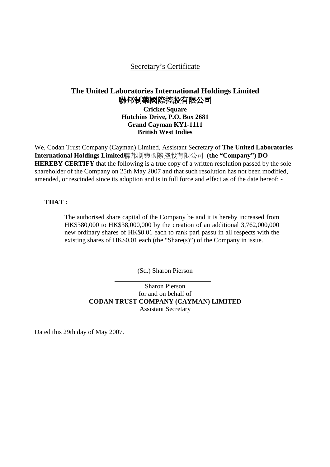## Secretary's Certificate

# **The United Laboratories International Holdings Limited**  聯邦制藥國際控股有限公司

**Cricket Square Hutchins Drive, P.O. Box 2681 Grand Cayman KY1-1111 British West Indies** 

We, Codan Trust Company (Cayman) Limited, Assistant Secretary of **The United Laboratories International Holdings Limited**聯邦制藥國際控股有限公司 (**the "Company"**) **DO HEREBY CERTIFY** that the following is a true copy of a written resolution passed by the sole shareholder of the Company on 25th May 2007 and that such resolution has not been modified, amended, or rescinded since its adoption and is in full force and effect as of the date hereof: -

#### **THAT :**

The authorised share capital of the Company be and it is hereby increased from HK\$380,000 to HK\$38,000,000 by the creation of an additional 3,762,000,000 new ordinary shares of HK\$0.01 each to rank pari passu in all respects with the existing shares of HK\$0.01 each (the "Share(s)") of the Company in issue.

(Sd.) Sharon Pierson

Sharon Pierson for and on behalf of **CODAN TRUST COMPANY (CAYMAN) LIMITED**  Assistant Secretary

Dated this 29th day of May 2007.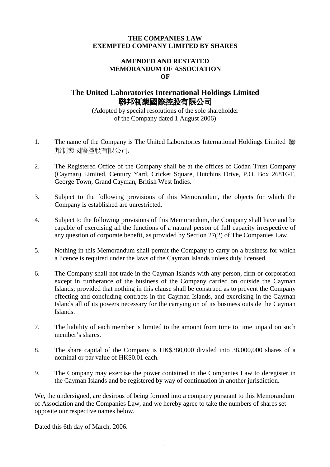#### **THE COMPANIES LAW EXEMPTED COMPANY LIMITED BY SHARES**

#### **AMENDED AND RESTATED MEMORANDUM OF ASSOCIATION OF**

### **The United Laboratories International Holdings Limited**  聯邦制藥國際控股有限公司

(Adopted by special resolutions of the sole shareholder of the Company dated 1 August 2006)

- 1. The name of the Company is The United Laboratories International Holdings Limited 聯 邦制藥國際控股有限公司**.**
- 2. The Registered Office of the Company shall be at the offices of Codan Trust Company (Cayman) Limited, Century Yard, Cricket Square, Hutchins Drive, P.O. Box 2681GT, George Town, Grand Cayman, British West Indies.
- 3. Subject to the following provisions of this Memorandum, the objects for which the Company is established are unrestricted.
- 4. Subject to the following provisions of this Memorandum, the Company shall have and be capable of exercising all the functions of a natural person of full capacity irrespective of any question of corporate benefit, as provided by Section 27(2) of The Companies Law.
- 5. Nothing in this Memorandum shall permit the Company to carry on a business for which a licence is required under the laws of the Cayman Islands unless duly licensed.
- 6. The Company shall not trade in the Cayman Islands with any person, firm or corporation except in furtherance of the business of the Company carried on outside the Cayman Islands; provided that nothing in this clause shall be construed as to prevent the Company effecting and concluding contracts in the Cayman Islands, and exercising in the Cayman Islands all of its powers necessary for the carrying on of its business outside the Cayman Islands.
- 7. The liability of each member is limited to the amount from time to time unpaid on such member's shares.
- 8. The share capital of the Company is HK\$380,000 divided into 38,000,000 shares of a nominal or par value of HK\$0.01 each.
- 9. The Company may exercise the power contained in the Companies Law to deregister in the Cayman Islands and be registered by way of continuation in another jurisdiction.

We, the undersigned, are desirous of being formed into a company pursuant to this Memorandum of Association and the Companies Law, and we hereby agree to take the numbers of shares set opposite our respective names below.

Dated this 6th day of March, 2006.